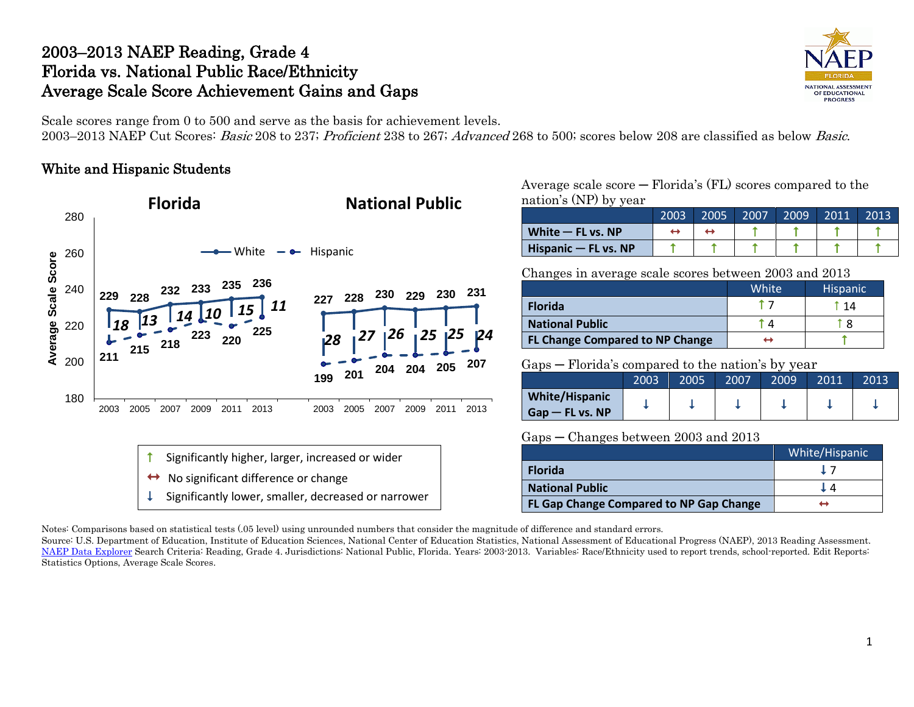# 2003–2013 NAEP Reading, Grade 4 Florida vs. National Public Race/Ethnicity Average Scale Score Achievement Gains and Gaps



Scale scores range from 0 to 500 and serve as the basis for achievement levels. 2003–2013 NAEP Cut Scores: Basic 208 to 237; Proficient 238 to 267; Advanced 268 to 500; scores below 208 are classified as below Basic.

## White and Hispanic Students



Average scale score ─ Florida's (FL) scores compared to the nation's (NP) by year

|                        | 2003 | 2005 | 2007 | 2009 | 2011 | 2013 |
|------------------------|------|------|------|------|------|------|
| White $-$ FL vs. NP    |      |      |      |      |      |      |
| Hispanic $-$ FL vs. NP |      |      |      |      |      |      |

Changes in average scale scores between 2003 and 2013

|                                        | White | <b>Hispanic</b> |
|----------------------------------------|-------|-----------------|
| <b>Florida</b>                         |       | 14              |
| <b>National Public</b>                 |       | i 8             |
| <b>FL Change Compared to NP Change</b> |       |                 |

Gaps ─ Florida's compared to the nation's by year

|                                             | 2003 | 2005 | 2007 | 2009 | 2011 | 2013 |
|---------------------------------------------|------|------|------|------|------|------|
| <b>White/Hispanic</b><br>$G$ ap — FL vs. NP |      |      |      |      |      |      |

Gaps ─ Changes between 2003 and 2013

|                                         | White/Hispanic |
|-----------------------------------------|----------------|
| <b>Florida</b>                          |                |
| <b>National Public</b>                  |                |
| FL Gap Change Compared to NP Gap Change |                |

Notes: Comparisons based on statistical tests (.05 level) using unrounded numbers that consider the magnitude of difference and standard errors.

Source: U.S. Department of Education, Institute of Education Sciences, National Center of Education Statistics, National Assessment of Educational Progress (NAEP), 2013 Reading Assessment. [NAEP Data Explorer](http://nces.ed.gov/nationsreportcard/naepdata/) Search Criteria: Reading, Grade 4. Jurisdictions: National Public, Florida. Years: 2003-2013. Variables: Race/Ethnicity used to report trends, school-reported. Edit Reports: Statistics Options, Average Scale Scores.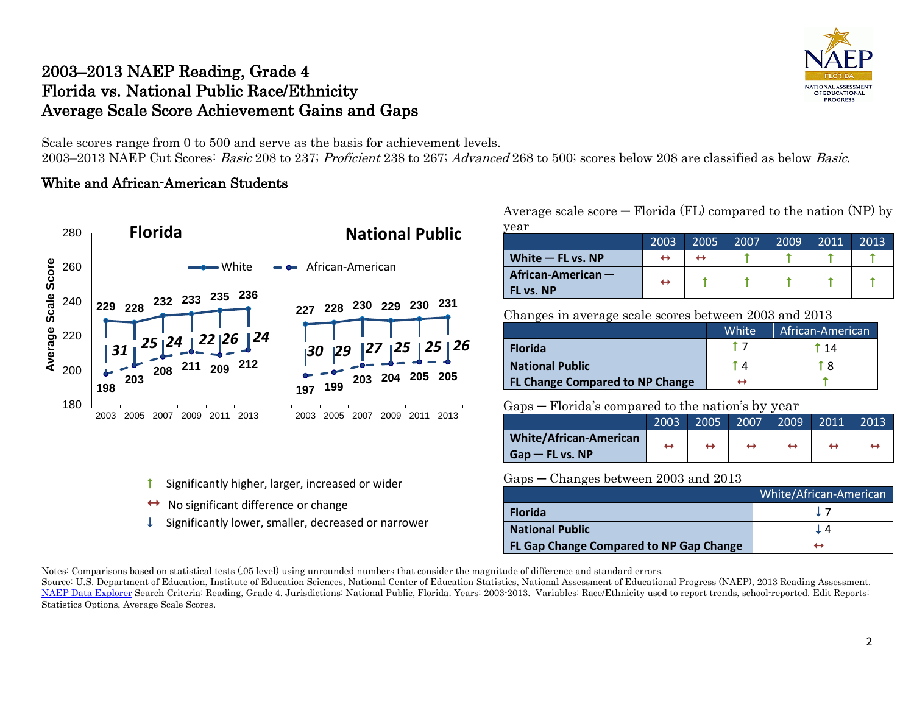# 2003–2013 NAEP Reading, Grade 4 Florida vs. National Public Race/Ethnicity Average Scale Score Achievement Gains and Gaps



Scale scores range from 0 to 500 and serve as the basis for achievement levels. 2003–2013 NAEP Cut Scores: Basic 208 to 237; Proficient 238 to 267; Advanced 268 to 500; scores below 208 are classified as below Basic.

## White and African-American Students



Average scale score  $-$  Florida (FL) compared to the nation (NP) by

| vear                |                   |      |      |      |      |      |
|---------------------|-------------------|------|------|------|------|------|
|                     | 2003              | 2005 | 2007 | 2009 | 2011 | 2013 |
| White $-$ FL vs. NP | ↔                 | ↔    |      |      |      |      |
| African-American -  | $\leftrightarrow$ |      |      |      |      |      |
| FL vs. NP           |                   |      |      |      |      |      |

Changes in average scale scores between 2003 and 2013

|                                        | White | African-American |
|----------------------------------------|-------|------------------|
| <b>Florida</b>                         |       | 14               |
| <b>National Public</b>                 |       |                  |
| <b>FL Change Compared to NP Change</b> |       |                  |

### Gaps ─ Florida's compared to the nation's by year

|                        | 2003              | 2005              | 2007 | 2009' | 2011 | 2013 |
|------------------------|-------------------|-------------------|------|-------|------|------|
| White/African-American | $\leftrightarrow$ | $\leftrightarrow$ | ↔    |       |      |      |
| $Gap$ – FL vs. NP      |                   |                   |      |       |      |      |

Gaps ─ Changes between 2003 and 2013

|                                         | White/African-American |
|-----------------------------------------|------------------------|
| <b>Florida</b>                          | $\perp$ 7              |
| <b>National Public</b>                  |                        |
| FL Gap Change Compared to NP Gap Change |                        |

Notes: Comparisons based on statistical tests (.05 level) using unrounded numbers that consider the magnitude of difference and standard errors.

Source: U.S. Department of Education, Institute of Education Sciences, National Center of Education Statistics, National Assessment of Educational Progress (NAEP), 2013 Reading Assessment. [NAEP Data Explorer](http://nces.ed.gov/nationsreportcard/naepdata/) Search Criteria: Reading, Grade 4. Jurisdictions: National Public, Florida. Years: 2003-2013. Variables: Race/Ethnicity used to report trends, school-reported. Edit Reports: Statistics Options, Average Scale Scores.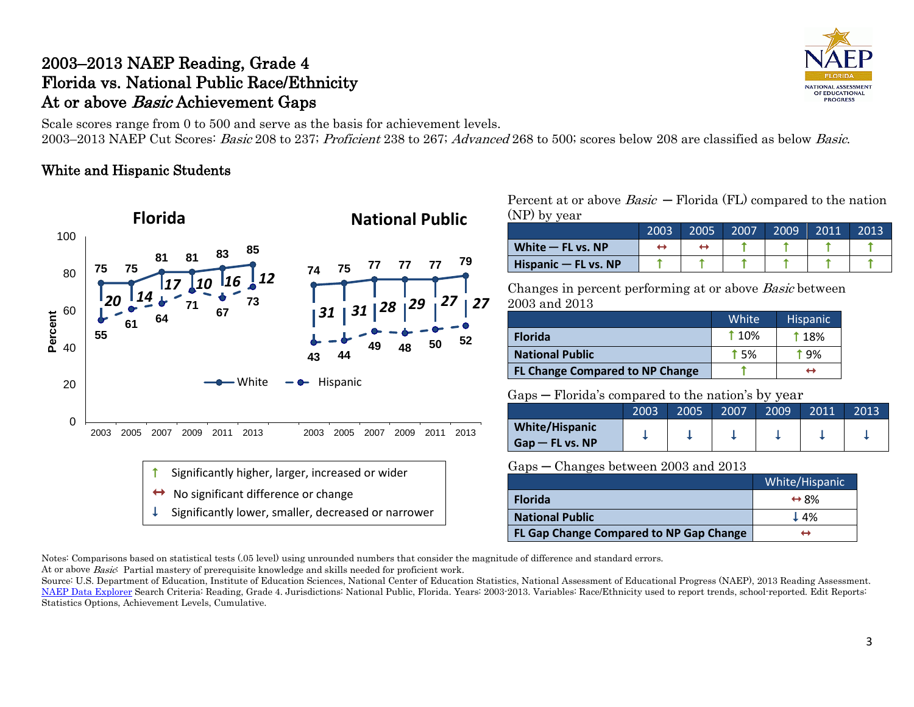# 2003–2013 NAEP Reading, Grade 4 Florida vs. National Public Race/Ethnicity At or above *Basic* Achievement Gaps

Scale scores range from 0 to 500 and serve as the basis for achievement levels. 2003–2013 NAEP Cut Scores: Basic 208 to 237; Proficient 238 to 267; Advanced 268 to 500; scores below 208 are classified as below Basic.

### White and Hispanic Students



Percent at or above  $Basic$  – Florida (FL) compared to the nation (NP) by year

|                           | 2003 | 2005 | 2007 | 2009 | 2011 | 2013 |
|---------------------------|------|------|------|------|------|------|
| White $-$ FL vs. NP       |      |      |      |      |      |      |
| $H$ ispanic $-$ FL vs. NP |      |      |      |      |      |      |

Changes in percent performing at or above Basic between 2003 and 2013

|                                        | White <sup>'</sup> | <b>Hispanic</b> |
|----------------------------------------|--------------------|-----------------|
| <b>Florida</b>                         | <b>110%</b>        | <b>18%</b>      |
| <b>National Public</b>                 | <b>15%</b>         | † ዓ%            |
| <b>FL Change Compared to NP Change</b> |                    | ↔               |

#### Gaps ─ Florida's compared to the nation's by year

|                                            | 2003 | 2005 | 2007 | 2009 | 2011 | 2013 |
|--------------------------------------------|------|------|------|------|------|------|
| <b>White/Hispanic</b><br>$Gap$ – FL vs. NP |      |      |      |      |      |      |

#### Gaps ─ Changes between 2003 and 2013

|                                         | White/Hispanic       |
|-----------------------------------------|----------------------|
| <b>Florida</b>                          | $\leftrightarrow$ 8% |
| <b>National Public</b>                  | $\perp$ 4%           |
| FL Gap Change Compared to NP Gap Change | ⊣                    |

Notes: Comparisons based on statistical tests (.05 level) using unrounded numbers that consider the magnitude of difference and standard errors. At or above Basic: Partial mastery of prerequisite knowledge and skills needed for proficient work.

Source: U.S. Department of Education, Institute of Education Sciences, National Center of Education Statistics, National Assessment of Educational Progress (NAEP), 2013 Reading Assessment. [NAEP Data Explorer](http://nces.ed.gov/nationsreportcard/naepdata/) Search Criteria: Reading, Grade 4. Jurisdictions: National Public, Florida. Years: 2003-2013. Variables: Race/Ethnicity used to report trends, school-reported. Edit Reports: Statistics Options, Achievement Levels, Cumulative.

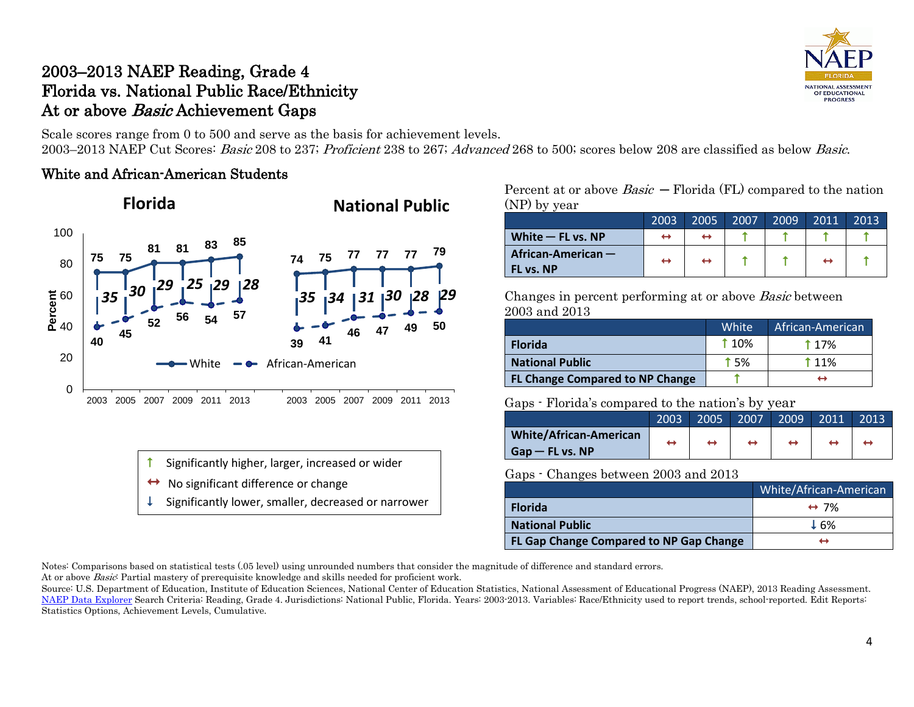# 2003–2013 NAEP Reading, Grade 4 Florida vs. National Public Race/Ethnicity At or above *Basic* Achievement Gaps

NATIONAL ASSESSMENT OF EDUCATIONAL **PROGRESS** 

Scale scores range from 0 to 500 and serve as the basis for achievement levels. 2003–2013 NAEP Cut Scores: Basic 208 to 237; Proficient 238 to 267; Advanced 268 to 500; scores below 208 are classified as below Basic.

### White and African-American Students



- Significantly higher, larger, increased or wider
- No significant difference or change
- Significantly lower, smaller, decreased or narrower

Percent at or above  $Basic$  – Florida (FL) compared to the nation (NP) by year

|                                   | 2003 | 2005 | 2007 | 2009 | 2011              | 2013 |
|-----------------------------------|------|------|------|------|-------------------|------|
| White $-$ FL vs. NP               |      |      |      |      |                   |      |
| African-American $-$<br>FL vs. NP |      | ↔    |      |      | $\leftrightarrow$ |      |

Changes in percent performing at or above Basic between 2003 and 2013

|                                        | White <sup>1</sup> | African-American |
|----------------------------------------|--------------------|------------------|
| <b>Florida</b>                         | <b>110%</b>        | <b>117%</b>      |
| <b>National Public</b>                 | <b>15%</b>         | <b>11%</b>       |
| <b>FL Change Compared to NP Change</b> |                    | ↔                |

#### Gaps - Florida's compared to the nation's by year

|                               | 2003 | 2005 | 2007 | 2009 | 2011 | 2013 |
|-------------------------------|------|------|------|------|------|------|
| <b>White/African-American</b> | ↔    | ↔    |      |      |      |      |
| $Gap$ – FL vs. NP             |      |      |      |      |      |      |

#### Gaps - Changes between 2003 and 2013

|                                         | White/African-American |
|-----------------------------------------|------------------------|
| <b>Florida</b>                          | $\leftrightarrow$ 7%   |
| <b>National Public</b>                  | $\pm 6%$               |
| FL Gap Change Compared to NP Gap Change |                        |

Notes: Comparisons based on statistical tests (.05 level) using unrounded numbers that consider the magnitude of difference and standard errors.

At or above *Basic*: Partial mastery of prerequisite knowledge and skills needed for proficient work.

Source: U.S. Department of Education, Institute of Education Sciences, National Center of Education Statistics, National Assessment of Educational Progress (NAEP), 2013 Reading Assessment. [NAEP Data Explorer](http://nces.ed.gov/nationsreportcard/naepdata/) Search Criteria: Reading, Grade 4. Jurisdictions: National Public, Florida. Years: 2003-2013. Variables: Race/Ethnicity used to report trends, school-reported. Edit Reports: Statistics Options, Achievement Levels, Cumulative.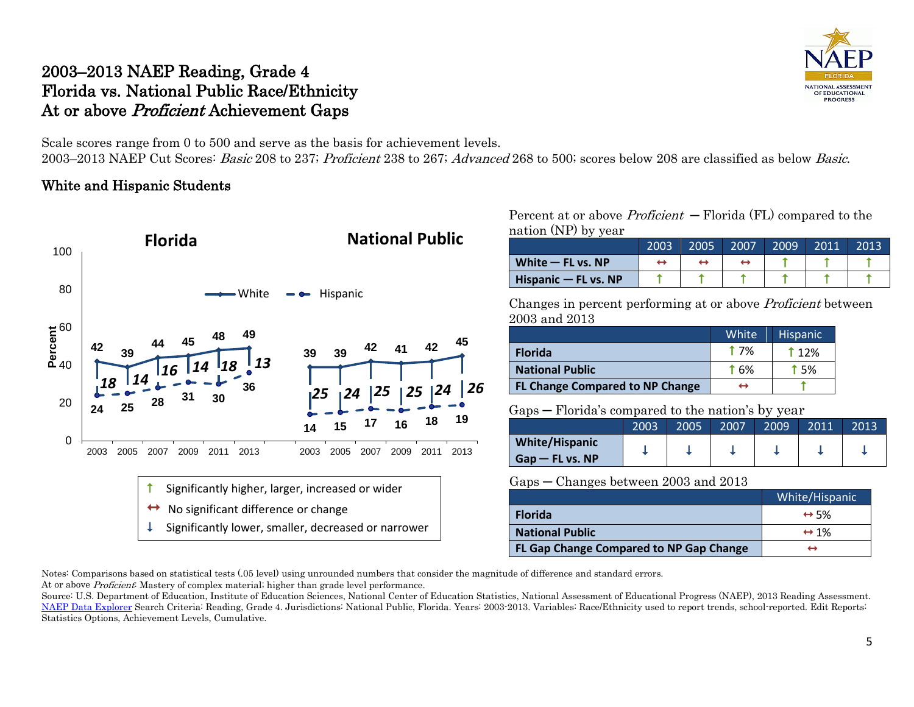# 2003–2013 NAEP Reading, Grade 4 Florida vs. National Public Race/Ethnicity At or above Proficient Achievement Gaps

NATIONAL ASSESSMENT OF EDUCATIONAL **PROGRESS** 

Scale scores range from 0 to 500 and serve as the basis for achievement levels.

2003–2013 NAEP Cut Scores: Basic 208 to 237; Proficient 238 to 267; Advanced 268 to 500; scores below 208 are classified as below Basic.

## White and Hispanic Students



Percent at or above *Proficient*  $-$  Florida (FL) compared to the nation (NP) by year

|                        | 2003 | 2005 | 2007 | 2009 | 2011 | 2013 |
|------------------------|------|------|------|------|------|------|
| White $-$ FL vs. NP    |      |      |      |      |      |      |
| Hispanic $-$ FL vs. NP |      |      |      |      |      |      |

Changes in percent performing at or above Proficient between 2003 and 2013

|                                        | White       | <b>Hispanic</b> |
|----------------------------------------|-------------|-----------------|
| <b>Florida</b>                         | <b>17%</b>  | 112%            |
| <b>National Public</b>                 | <b>f</b> 6% | <b>15%</b>      |
| <b>FL Change Compared to NP Change</b> | ↔           |                 |

#### Gaps ─ Florida's compared to the nation's by year

|                    | 2003 | 2005 | 2007 | 2009 | 2011 | 2013 |
|--------------------|------|------|------|------|------|------|
| White/Hispanic     |      |      |      |      |      |      |
| $G$ ap — FL vs. NP |      |      |      |      |      |      |

### Gaps ─ Changes between 2003 and 2013

|                                         | White/Hispanic       |
|-----------------------------------------|----------------------|
| <b>Florida</b>                          | $\leftrightarrow$ 5% |
| <b>National Public</b>                  | $\leftrightarrow$ 1% |
| FL Gap Change Compared to NP Gap Change |                      |

Notes: Comparisons based on statistical tests (.05 level) using unrounded numbers that consider the magnitude of difference and standard errors. At or above *Proficient*: Mastery of complex material; higher than grade level performance.

Source: U.S. Department of Education, Institute of Education Sciences, National Center of Education Statistics, National Assessment of Educational Progress (NAEP), 2013 Reading Assessment. [NAEP Data Explorer](http://nces.ed.gov/nationsreportcard/naepdata/) Search Criteria: Reading, Grade 4. Jurisdictions: National Public, Florida. Years: 2003-2013. Variables: Race/Ethnicity used to report trends, school-reported. Edit Reports: Statistics Options, Achievement Levels, Cumulative.